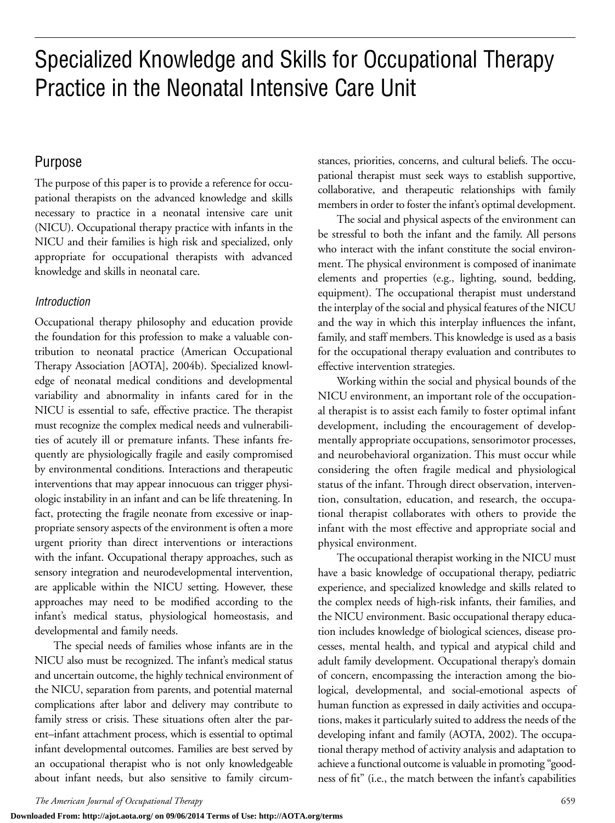# Specialized Knowledge and Skills for Occupational Therapy Practice in the Neonatal Intensive Care Unit

# Purpose

The purpose of this paper is to provide a reference for occupational therapists on the advanced knowledge and skills necessary to practice in a neonatal intensive care unit (NICU). Occupational therapy practice with infants in the NICU and their families is high risk and specialized, only appropriate for occupational therapists with advanced knowledge and skills in neonatal care.

#### *Introduction*

Occupational therapy philosophy and education provide the foundation for this profession to make a valuable contribution to neonatal practice (American Occupational Therapy Association [AOTA], 2004b). Specialized knowledge of neonatal medical conditions and developmental variability and abnormality in infants cared for in the NICU is essential to safe, effective practice. The therapist must recognize the complex medical needs and vulnerabilities of acutely ill or premature infants. These infants frequently are physiologically fragile and easily compromised by environmental conditions. Interactions and therapeutic interventions that may appear innocuous can trigger physiologic instability in an infant and can be life threatening. In fact, protecting the fragile neonate from excessive or inappropriate sensory aspects of the environment is often a more urgent priority than direct interventions or interactions with the infant. Occupational therapy approaches, such as sensory integration and neurodevelopmental intervention, are applicable within the NICU setting. However, these approaches may need to be modified according to the infant's medical status, physiological homeostasis, and developmental and family needs.

The special needs of families whose infants are in the NICU also must be recognized. The infant's medical status and uncertain outcome, the highly technical environment of the NICU, separation from parents, and potential maternal complications after labor and delivery may contribute to family stress or crisis. These situations often alter the parent–infant attachment process, which is essential to optimal infant developmental outcomes. Families are best served by an occupational therapist who is not only knowledgeable about infant needs, but also sensitive to family circumstances, priorities, concerns, and cultural beliefs. The occupational therapist must seek ways to establish supportive, collaborative, and therapeutic relationships with family members in order to foster the infant's optimal development.

The social and physical aspects of the environment can be stressful to both the infant and the family. All persons who interact with the infant constitute the social environment. The physical environment is composed of inanimate elements and properties (e.g., lighting, sound, bedding, equipment). The occupational therapist must understand the interplay of the social and physical features of the NICU and the way in which this interplay influences the infant, family, and staff members. This knowledge is used as a basis for the occupational therapy evaluation and contributes to effective intervention strategies.

Working within the social and physical bounds of the NICU environment, an important role of the occupational therapist is to assist each family to foster optimal infant development, including the encouragement of developmentally appropriate occupations, sensorimotor processes, and neurobehavioral organization. This must occur while considering the often fragile medical and physiological status of the infant. Through direct observation, intervention, consultation, education, and research, the occupational therapist collaborates with others to provide the infant with the most effective and appropriate social and physical environment.

The occupational therapist working in the NICU must have a basic knowledge of occupational therapy, pediatric experience, and specialized knowledge and skills related to the complex needs of high-risk infants, their families, and the NICU environment. Basic occupational therapy education includes knowledge of biological sciences, disease processes, mental health, and typical and atypical child and adult family development. Occupational therapy's domain of concern, encompassing the interaction among the biological, developmental, and social-emotional aspects of human function as expressed in daily activities and occupations, makes it particularly suited to address the needs of the developing infant and family (AOTA, 2002). The occupational therapy method of activity analysis and adaptation to achieve a functional outcome is valuable in promoting "goodness of fit" (i.e., the match between the infant's capabilities

**Downloaded From: http://ajot.aota.org/ on 09/06/2014 Terms of Use: http://AOTA.org/terms**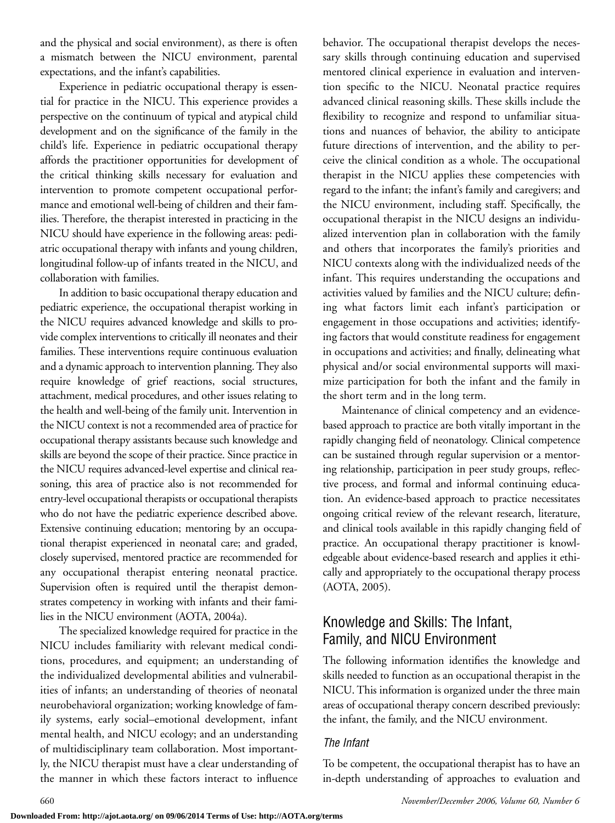and the physical and social environment), as there is often a mismatch between the NICU environment, parental expectations, and the infant's capabilities.

Experience in pediatric occupational therapy is essential for practice in the NICU. This experience provides a perspective on the continuum of typical and atypical child development and on the significance of the family in the child's life. Experience in pediatric occupational therapy affords the practitioner opportunities for development of the critical thinking skills necessary for evaluation and intervention to promote competent occupational performance and emotional well-being of children and their families. Therefore, the therapist interested in practicing in the NICU should have experience in the following areas: pediatric occupational therapy with infants and young children, longitudinal follow-up of infants treated in the NICU, and collaboration with families.

In addition to basic occupational therapy education and pediatric experience, the occupational therapist working in the NICU requires advanced knowledge and skills to provide complex interventions to critically ill neonates and their families. These interventions require continuous evaluation and a dynamic approach to intervention planning. They also require knowledge of grief reactions, social structures, attachment, medical procedures, and other issues relating to the health and well-being of the family unit. Intervention in the NICU context is not a recommended area of practice for occupational therapy assistants because such knowledge and skills are beyond the scope of their practice. Since practice in the NICU requires advanced-level expertise and clinical reasoning, this area of practice also is not recommended for entry-level occupational therapists or occupational therapists who do not have the pediatric experience described above. Extensive continuing education; mentoring by an occupational therapist experienced in neonatal care; and graded, closely supervised, mentored practice are recommended for any occupational therapist entering neonatal practice. Supervision often is required until the therapist demonstrates competency in working with infants and their families in the NICU environment (AOTA, 2004a).

The specialized knowledge required for practice in the NICU includes familiarity with relevant medical conditions, procedures, and equipment; an understanding of the individualized developmental abilities and vulnerabilities of infants; an understanding of theories of neonatal neurobehavioral organization; working knowledge of family systems, early social–emotional development, infant mental health, and NICU ecology; and an understanding of multidisciplinary team collaboration. Most importantly, the NICU therapist must have a clear understanding of the manner in which these factors interact to influence

behavior. The occupational therapist develops the necessary skills through continuing education and supervised mentored clinical experience in evaluation and intervention specific to the NICU. Neonatal practice requires advanced clinical reasoning skills. These skills include the flexibility to recognize and respond to unfamiliar situations and nuances of behavior, the ability to anticipate future directions of intervention, and the ability to perceive the clinical condition as a whole. The occupational therapist in the NICU applies these competencies with regard to the infant; the infant's family and caregivers; and the NICU environment, including staff. Specifically, the occupational therapist in the NICU designs an individualized intervention plan in collaboration with the family and others that incorporates the family's priorities and NICU contexts along with the individualized needs of the infant. This requires understanding the occupations and activities valued by families and the NICU culture; defining what factors limit each infant's participation or engagement in those occupations and activities; identifying factors that would constitute readiness for engagement in occupations and activities; and finally, delineating what physical and/or social environmental supports will maximize participation for both the infant and the family in the short term and in the long term.

Maintenance of clinical competency and an evidencebased approach to practice are both vitally important in the rapidly changing field of neonatology. Clinical competence can be sustained through regular supervision or a mentoring relationship, participation in peer study groups, reflective process, and formal and informal continuing education. An evidence-based approach to practice necessitates ongoing critical review of the relevant research, literature, and clinical tools available in this rapidly changing field of practice. An occupational therapy practitioner is knowledgeable about evidence-based research and applies it ethically and appropriately to the occupational therapy process (AOTA, 2005).

# Knowledge and Skills: The Infant, Family, and NICU Environment

The following information identifies the knowledge and skills needed to function as an occupational therapist in the NICU. This information is organized under the three main areas of occupational therapy concern described previously: the infant, the family, and the NICU environment.

# *The Infant*

To be competent, the occupational therapist has to have an in-depth understanding of approaches to evaluation and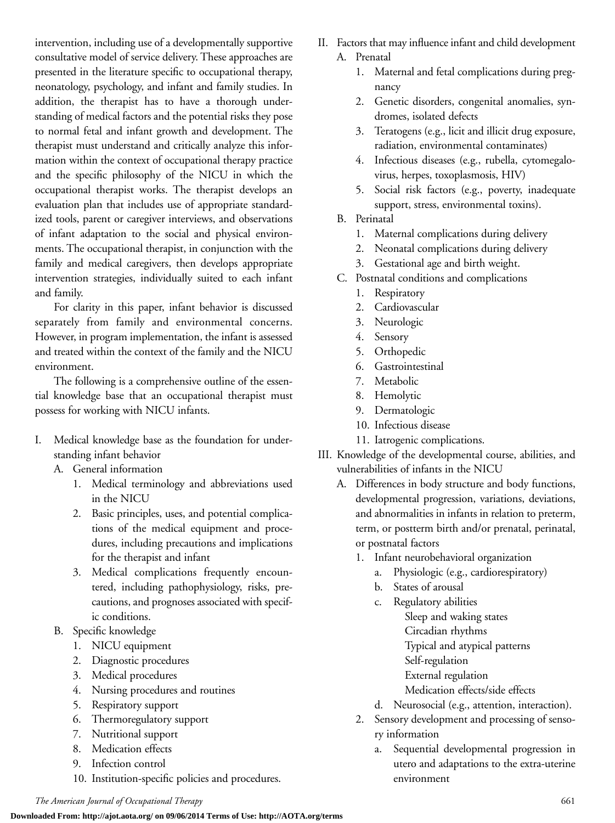intervention, including use of a developmentally supportive consultative model of service delivery. These approaches are presented in the literature specific to occupational therapy, neonatology, psychology, and infant and family studies. In addition, the therapist has to have a thorough understanding of medical factors and the potential risks they pose to normal fetal and infant growth and development. The therapist must understand and critically analyze this information within the context of occupational therapy practice and the specific philosophy of the NICU in which the occupational therapist works. The therapist develops an evaluation plan that includes use of appropriate standardized tools, parent or caregiver interviews, and observations of infant adaptation to the social and physical environments. The occupational therapist, in conjunction with the family and medical caregivers, then develops appropriate intervention strategies, individually suited to each infant and family.

For clarity in this paper, infant behavior is discussed separately from family and environmental concerns. However, in program implementation, the infant is assessed and treated within the context of the family and the NICU environment.

The following is a comprehensive outline of the essential knowledge base that an occupational therapist must possess for working with NICU infants.

- I. Medical knowledge base as the foundation for understanding infant behavior
	- A. General information
		- 1. Medical terminology and abbreviations used in the NICU
		- 2. Basic principles, uses, and potential complications of the medical equipment and procedures, including precautions and implications for the therapist and infant
		- 3. Medical complications frequently encountered, including pathophysiology, risks, precautions, and prognoses associated with specific conditions.
	- B. Specific knowledge
		- 1. NICU equipment
		- 2. Diagnostic procedures
		- 3. Medical procedures
		- 4. Nursing procedures and routines
		- 5. Respiratory support
		- 6. Thermoregulatory support
		- 7. Nutritional support
		- 8. Medication effects
		- 9. Infection control
		- 10. Institution-specific policies and procedures.
- II. Factors that may influence infant and child development A. Prenatal
	- 1. Maternal and fetal complications during pregnancy
	- 2. Genetic disorders, congenital anomalies, syndromes, isolated defects
	- 3. Teratogens (e.g., licit and illicit drug exposure, radiation, environmental contaminates)
	- 4. Infectious diseases (e.g., rubella, cytomegalovirus, herpes, toxoplasmosis, HIV)
	- 5. Social risk factors (e.g., poverty, inadequate support, stress, environmental toxins).
	- B. Perinatal
		- 1. Maternal complications during delivery
		- 2. Neonatal complications during delivery
		- 3. Gestational age and birth weight.
	- C. Postnatal conditions and complications
		- 1. Respiratory
		- 2. Cardiovascular
		- 3. Neurologic
		- 4. Sensory
		- 5. Orthopedic
		- 6. Gastrointestinal
		- 7. Metabolic
		- 8. Hemolytic
		- 9. Dermatologic
		- 10. Infectious disease
		- 11. Iatrogenic complications.
- III. Knowledge of the developmental course, abilities, and vulnerabilities of infants in the NICU
	- A. Differences in body structure and body functions, developmental progression, variations, deviations, and abnormalities in infants in relation to preterm, term, or postterm birth and/or prenatal, perinatal, or postnatal factors
		- 1. Infant neurobehavioral organization
			- a. Physiologic (e.g., cardiorespiratory)
			- b. States of arousal
			- c. Regulatory abilities
				- Sleep and waking states
				- Circadian rhythms
				- Typical and atypical patterns
				- Self-regulation
				- External regulation
				- Medication effects/side effects
			- d. Neurosocial (e.g., attention, interaction).
		- 2. Sensory development and processing of sensory information
			- a. Sequential developmental progression in utero and adaptations to the extra-uterine environment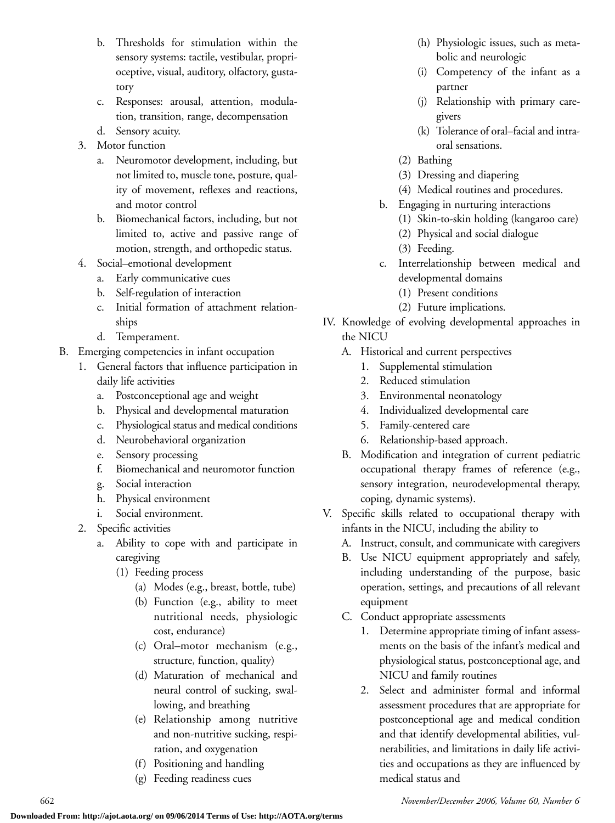- b. Thresholds for stimulation within the sensory systems: tactile, vestibular, proprioceptive, visual, auditory, olfactory, gustatory
- c. Responses: arousal, attention, modulation, transition, range, decompensation
- d. Sensory acuity.
- 3. Motor function
	- a. Neuromotor development, including, but not limited to, muscle tone, posture, quality of movement, reflexes and reactions, and motor control
	- b. Biomechanical factors, including, but not limited to, active and passive range of motion, strength, and orthopedic status.
- 4. Social–emotional development
	- a. Early communicative cues
	- b. Self-regulation of interaction
	- c. Initial formation of attachment relationships
	- d. Temperament.
- B. Emerging competencies in infant occupation
	- 1. General factors that influence participation in daily life activities
		- a. Postconceptional age and weight
		- b. Physical and developmental maturation
		- c. Physiological status and medical conditions
		- d. Neurobehavioral organization
		- e. Sensory processing
		- f. Biomechanical and neuromotor function
		- g. Social interaction
		- h. Physical environment
		- i. Social environment.
	- 2. Specific activities
		- Ability to cope with and participate in caregiving
			- (1) Feeding process
				- (a) Modes (e.g., breast, bottle, tube)
				- (b) Function (e.g., ability to meet nutritional needs, physiologic cost, endurance)
				- (c) Oral–motor mechanism (e.g., structure, function, quality)
				- (d) Maturation of mechanical and neural control of sucking, swallowing, and breathing
				- (e) Relationship among nutritive and non-nutritive sucking, respiration, and oxygenation
				- (f) Positioning and handling
				- (g) Feeding readiness cues
- (h) Physiologic issues, such as metabolic and neurologic
- (i) Competency of the infant as a partner
- (j) Relationship with primary caregivers
- (k) Tolerance of oral–facial and intraoral sensations.
- (2) Bathing
- (3) Dressing and diapering
- (4) Medical routines and procedures.
- b. Engaging in nurturing interactions
	- (1) Skin-to-skin holding (kangaroo care)
	- (2) Physical and social dialogue
	- (3) Feeding.
- c. Interrelationship between medical and developmental domains
	- (1) Present conditions
	- (2) Future implications.
- IV. Knowledge of evolving developmental approaches in the NICU
	- A. Historical and current perspectives
		- 1. Supplemental stimulation
		- 2. Reduced stimulation
		- 3. Environmental neonatology
		- 4. Individualized developmental care
		- 5. Family-centered care
		- 6. Relationship-based approach.
	- B. Modification and integration of current pediatric occupational therapy frames of reference (e.g., sensory integration, neurodevelopmental therapy, coping, dynamic systems).
- V. Specific skills related to occupational therapy with infants in the NICU, including the ability to
	- A. Instruct, consult, and communicate with caregivers
	- B. Use NICU equipment appropriately and safely, including understanding of the purpose, basic operation, settings, and precautions of all relevant equipment
	- C. Conduct appropriate assessments
		- 1. Determine appropriate timing of infant assessments on the basis of the infant's medical and physiological status, postconceptional age, and NICU and family routines
		- 2. Select and administer formal and informal assessment procedures that are appropriate for postconceptional age and medical condition and that identify developmental abilities, vulnerabilities, and limitations in daily life activities and occupations as they are influenced by medical status and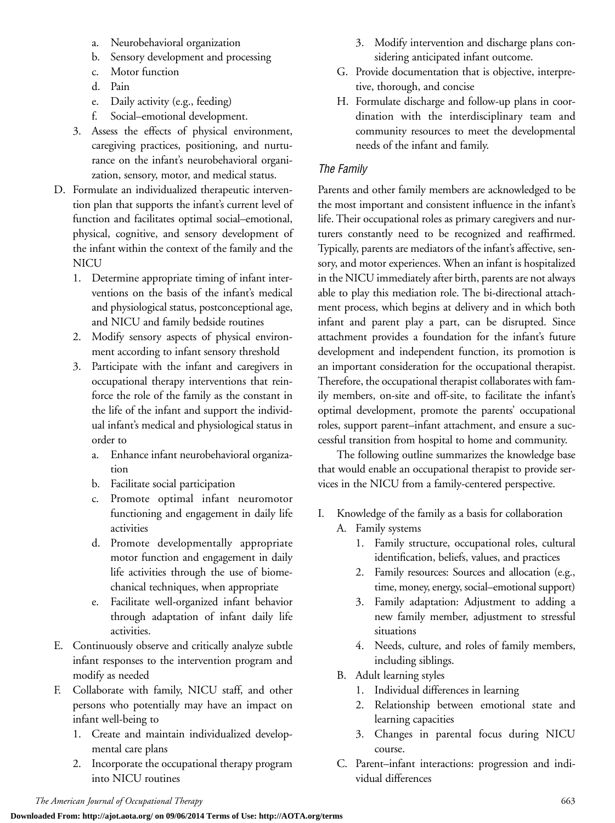- a. Neurobehavioral organization
- b. Sensory development and processing
- c. Motor function
- d. Pain
- e. Daily activity (e.g., feeding)
- f. Social–emotional development.
- 3. Assess the effects of physical environment, caregiving practices, positioning, and nurturance on the infant's neurobehavioral organization, sensory, motor, and medical status.
- D. Formulate an individualized therapeutic intervention plan that supports the infant's current level of function and facilitates optimal social–emotional, physical, cognitive, and sensory development of the infant within the context of the family and the NICU
	- 1. Determine appropriate timing of infant interventions on the basis of the infant's medical and physiological status, postconceptional age, and NICU and family bedside routines
	- 2. Modify sensory aspects of physical environment according to infant sensory threshold
	- 3. Participate with the infant and caregivers in occupational therapy interventions that reinforce the role of the family as the constant in the life of the infant and support the individual infant's medical and physiological status in order to
		- a. Enhance infant neurobehavioral organization
		- b. Facilitate social participation
		- c. Promote optimal infant neuromotor functioning and engagement in daily life activities
		- d. Promote developmentally appropriate motor function and engagement in daily life activities through the use of biomechanical techniques, when appropriate
		- e. Facilitate well-organized infant behavior through adaptation of infant daily life activities.
- E. Continuously observe and critically analyze subtle infant responses to the intervention program and modify as needed
- F. Collaborate with family, NICU staff, and other persons who potentially may have an impact on infant well-being to
	- 1. Create and maintain individualized developmental care plans
	- 2. Incorporate the occupational therapy program into NICU routines
- 3. Modify intervention and discharge plans considering anticipated infant outcome.
- G. Provide documentation that is objective, interpretive, thorough, and concise
- H. Formulate discharge and follow-up plans in coordination with the interdisciplinary team and community resources to meet the developmental needs of the infant and family.

# *The Family*

Parents and other family members are acknowledged to be the most important and consistent influence in the infant's life. Their occupational roles as primary caregivers and nurturers constantly need to be recognized and reaffirmed. Typically, parents are mediators of the infant's affective, sensory, and motor experiences. When an infant is hospitalized in the NICU immediately after birth, parents are not always able to play this mediation role. The bi-directional attachment process, which begins at delivery and in which both infant and parent play a part, can be disrupted. Since attachment provides a foundation for the infant's future development and independent function, its promotion is an important consideration for the occupational therapist. Therefore, the occupational therapist collaborates with family members, on-site and off-site, to facilitate the infant's optimal development, promote the parents' occupational roles, support parent–infant attachment, and ensure a successful transition from hospital to home and community.

The following outline summarizes the knowledge base that would enable an occupational therapist to provide services in the NICU from a family-centered perspective.

- I. Knowledge of the family as a basis for collaboration A. Family systems
	- 1. Family structure, occupational roles, cultural identification, beliefs, values, and practices
	- 2. Family resources: Sources and allocation (e.g., time, money, energy, social–emotional support)
	- 3. Family adaptation: Adjustment to adding a new family member, adjustment to stressful situations
	- 4. Needs, culture, and roles of family members, including siblings.
	- B. Adult learning styles
		- 1. Individual differences in learning
		- 2. Relationship between emotional state and learning capacities
		- 3. Changes in parental focus during NICU course.
	- C. Parent–infant interactions: progression and individual differences

*The American Journal of Occupational Therapy* 663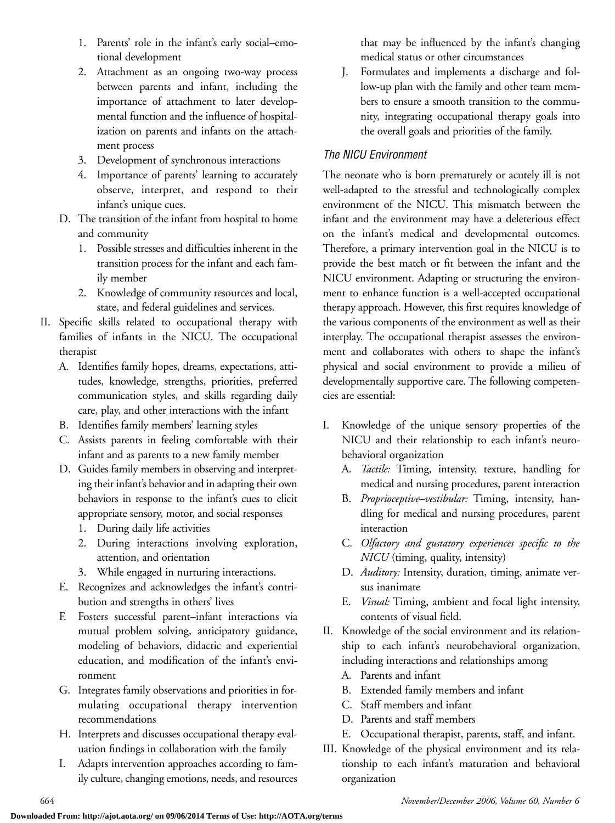- 1. Parents' role in the infant's early social–emotional development
- 2. Attachment as an ongoing two-way process between parents and infant, including the importance of attachment to later developmental function and the influence of hospitalization on parents and infants on the attachment process
- 3. Development of synchronous interactions
- 4. Importance of parents' learning to accurately observe, interpret, and respond to their infant's unique cues.
- D. The transition of the infant from hospital to home and community
	- 1. Possible stresses and difficulties inherent in the transition process for the infant and each family member
	- 2. Knowledge of community resources and local, state, and federal guidelines and services.
- II. Specific skills related to occupational therapy with families of infants in the NICU. The occupational therapist
	- A. Identifies family hopes, dreams, expectations, attitudes, knowledge, strengths, priorities, preferred communication styles, and skills regarding daily care, play, and other interactions with the infant
	- B. Identifies family members' learning styles
	- C. Assists parents in feeling comfortable with their infant and as parents to a new family member
	- D. Guides family members in observing and interpreting their infant's behavior and in adapting their own behaviors in response to the infant's cues to elicit appropriate sensory, motor, and social responses
		- 1. During daily life activities
		- 2. During interactions involving exploration, attention, and orientation
		- 3. While engaged in nurturing interactions.
	- E. Recognizes and acknowledges the infant's contribution and strengths in others' lives
	- F. Fosters successful parent–infant interactions via mutual problem solving, anticipatory guidance, modeling of behaviors, didactic and experiential education, and modification of the infant's environment
	- G. Integrates family observations and priorities in formulating occupational therapy intervention recommendations
	- H. Interprets and discusses occupational therapy evaluation findings in collaboration with the family
	- I. Adapts intervention approaches according to family culture, changing emotions, needs, and resources

that may be influenced by the infant's changing medical status or other circumstances

J. Formulates and implements a discharge and follow-up plan with the family and other team members to ensure a smooth transition to the community, integrating occupational therapy goals into the overall goals and priorities of the family.

# *The NICU Environment*

The neonate who is born prematurely or acutely ill is not well-adapted to the stressful and technologically complex environment of the NICU. This mismatch between the infant and the environment may have a deleterious effect on the infant's medical and developmental outcomes. Therefore, a primary intervention goal in the NICU is to provide the best match or fit between the infant and the NICU environment. Adapting or structuring the environment to enhance function is a well-accepted occupational therapy approach. However, this first requires knowledge of the various components of the environment as well as their interplay. The occupational therapist assesses the environment and collaborates with others to shape the infant's physical and social environment to provide a milieu of developmentally supportive care. The following competencies are essential:

- I. Knowledge of the unique sensory properties of the NICU and their relationship to each infant's neurobehavioral organization
	- A. *Tactile:* Timing, intensity, texture, handling for medical and nursing procedures, parent interaction
	- B. *Proprioceptive–vestibular:* Timing, intensity, handling for medical and nursing procedures, parent interaction
	- C. *Olfactory and gustatory experiences specific to the NICU* (timing, quality, intensity)
	- D. *Auditory:* Intensity, duration, timing, animate versus inanimate
	- E. *Visual:* Timing, ambient and focal light intensity, contents of visual field.
- II. Knowledge of the social environment and its relationship to each infant's neurobehavioral organization, including interactions and relationships among
	- A. Parents and infant
	- B. Extended family members and infant
	- C. Staff members and infant
	- D. Parents and staff members
	- E. Occupational therapist, parents, staff, and infant.
- III. Knowledge of the physical environment and its relationship to each infant's maturation and behavioral organization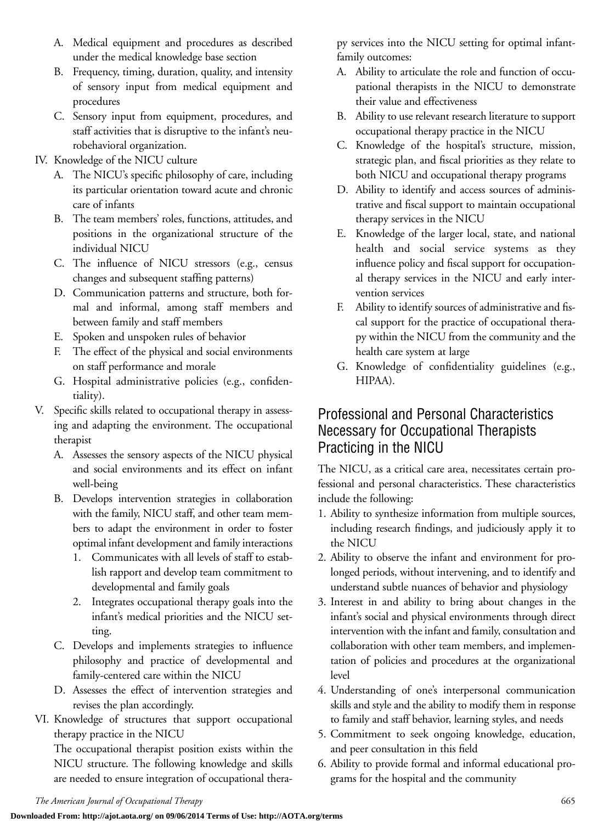- A. Medical equipment and procedures as described under the medical knowledge base section
- B. Frequency, timing, duration, quality, and intensity of sensory input from medical equipment and procedures
- C. Sensory input from equipment, procedures, and staff activities that is disruptive to the infant's neurobehavioral organization.

#### IV. Knowledge of the NICU culture

- A. The NICU's specific philosophy of care, including its particular orientation toward acute and chronic care of infants
- B. The team members' roles, functions, attitudes, and positions in the organizational structure of the individual NICU
- C. The influence of NICU stressors (e.g., census changes and subsequent staffing patterns)
- D. Communication patterns and structure, both formal and informal, among staff members and between family and staff members
- E. Spoken and unspoken rules of behavior
- F. The effect of the physical and social environments on staff performance and morale
- G. Hospital administrative policies (e.g., confidentiality).
- V. Specific skills related to occupational therapy in assessing and adapting the environment. The occupational therapist
	- A. Assesses the sensory aspects of the NICU physical and social environments and its effect on infant well-being
	- B. Develops intervention strategies in collaboration with the family, NICU staff, and other team members to adapt the environment in order to foster optimal infant development and family interactions
		- 1. Communicates with all levels of staff to establish rapport and develop team commitment to developmental and family goals
		- 2. Integrates occupational therapy goals into the infant's medical priorities and the NICU setting.
	- C. Develops and implements strategies to influence philosophy and practice of developmental and family-centered care within the NICU
	- D. Assesses the effect of intervention strategies and revises the plan accordingly.
- VI. Knowledge of structures that support occupational therapy practice in the NICU

The occupational therapist position exists within the NICU structure. The following knowledge and skills are needed to ensure integration of occupational therapy services into the NICU setting for optimal infantfamily outcomes:

- A. Ability to articulate the role and function of occupational therapists in the NICU to demonstrate their value and effectiveness
- B. Ability to use relevant research literature to support occupational therapy practice in the NICU
- C. Knowledge of the hospital's structure, mission, strategic plan, and fiscal priorities as they relate to both NICU and occupational therapy programs
- D. Ability to identify and access sources of administrative and fiscal support to maintain occupational therapy services in the NICU
- E. Knowledge of the larger local, state, and national health and social service systems as they influence policy and fiscal support for occupational therapy services in the NICU and early intervention services
- F. Ability to identify sources of administrative and fiscal support for the practice of occupational therapy within the NICU from the community and the health care system at large
- G. Knowledge of confidentiality guidelines (e.g., HIPAA).

# Professional and Personal Characteristics Necessary for Occupational Therapists Practicing in the NICU

The NICU, as a critical care area, necessitates certain professional and personal characteristics. These characteristics include the following:

- 1. Ability to synthesize information from multiple sources, including research findings, and judiciously apply it to the NICU
- 2. Ability to observe the infant and environment for prolonged periods, without intervening, and to identify and understand subtle nuances of behavior and physiology
- 3. Interest in and ability to bring about changes in the infant's social and physical environments through direct intervention with the infant and family, consultation and collaboration with other team members, and implementation of policies and procedures at the organizational level
- 4. Understanding of one's interpersonal communication skills and style and the ability to modify them in response to family and staff behavior, learning styles, and needs
- 5. Commitment to seek ongoing knowledge, education, and peer consultation in this field
- 6. Ability to provide formal and informal educational programs for the hospital and the community

**Downloaded From: http://ajot.aota.org/ on 09/06/2014 Terms of Use: http://AOTA.org/terms**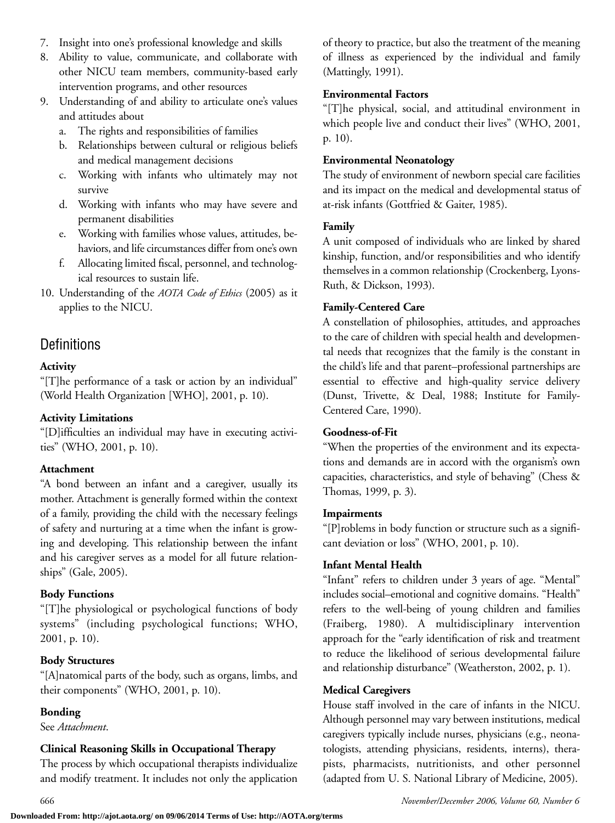- 7. Insight into one's professional knowledge and skills
- 8. Ability to value, communicate, and collaborate with other NICU team members, community-based early intervention programs, and other resources
- 9. Understanding of and ability to articulate one's values and attitudes about
	- a. The rights and responsibilities of families
	- b. Relationships between cultural or religious beliefs and medical management decisions
	- c. Working with infants who ultimately may not survive
	- d. Working with infants who may have severe and permanent disabilities
	- e. Working with families whose values, attitudes, behaviors, and life circumstances differ from one's own
	- f. Allocating limited fiscal, personnel, and technological resources to sustain life.
- 10. Understanding of the *AOTA Code of Ethics* (2005) as it applies to the NICU.

# **Definitions**

#### **Activity**

"[T]he performance of a task or action by an individual" (World Health Organization [WHO], 2001, p. 10).

### **Activity Limitations**

"[D]ifficulties an individual may have in executing activities" (WHO, 2001, p. 10).

#### **Attachment**

"A bond between an infant and a caregiver, usually its mother. Attachment is generally formed within the context of a family, providing the child with the necessary feelings of safety and nurturing at a time when the infant is growing and developing. This relationship between the infant and his caregiver serves as a model for all future relationships" (Gale, 2005).

# **Body Functions**

"[T]he physiological or psychological functions of body systems" (including psychological functions; WHO, 2001, p. 10).

# **Body Structures**

"[A]natomical parts of the body, such as organs, limbs, and their components" (WHO, 2001, p. 10).

# **Bonding**

See *Attachment*.

# **Clinical Reasoning Skills in Occupational Therapy**

The process by which occupational therapists individualize and modify treatment. It includes not only the application

of theory to practice, but also the treatment of the meaning of illness as experienced by the individual and family (Mattingly, 1991).

### **Environmental Factors**

"[T]he physical, social, and attitudinal environment in which people live and conduct their lives" (WHO, 2001, p. 10).

#### **Environmental Neonatology**

The study of environment of newborn special care facilities and its impact on the medical and developmental status of at-risk infants (Gottfried & Gaiter, 1985).

#### **Family**

A unit composed of individuals who are linked by shared kinship, function, and/or responsibilities and who identify themselves in a common relationship (Crockenberg, Lyons-Ruth, & Dickson, 1993).

# **Family-Centered Care**

A constellation of philosophies, attitudes, and approaches to the care of children with special health and developmental needs that recognizes that the family is the constant in the child's life and that parent–professional partnerships are essential to effective and high-quality service delivery (Dunst, Trivette, & Deal, 1988; Institute for Family-Centered Care, 1990).

# **Goodness-of-Fit**

"When the properties of the environment and its expectations and demands are in accord with the organism's own capacities, characteristics, and style of behaving" (Chess & Thomas, 1999, p. 3).

# **Impairments**

"[P]roblems in body function or structure such as a significant deviation or loss" (WHO, 2001, p. 10).

# **Infant Mental Health**

"Infant" refers to children under 3 years of age. "Mental" includes social–emotional and cognitive domains. "Health" refers to the well-being of young children and families (Fraiberg, 1980). A multidisciplinary intervention approach for the "early identification of risk and treatment to reduce the likelihood of serious developmental failure and relationship disturbance" (Weatherston, 2002, p. 1).

# **Medical Caregivers**

House staff involved in the care of infants in the NICU. Although personnel may vary between institutions, medical caregivers typically include nurses, physicians (e.g., neonatologists, attending physicians, residents, interns), therapists, pharmacists, nutritionists, and other personnel (adapted from U. S. National Library of Medicine, 2005).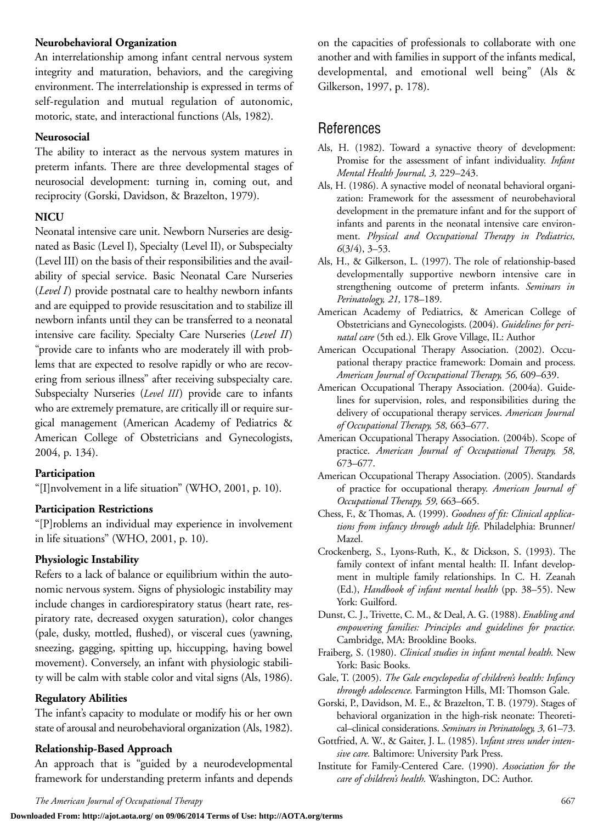#### **Neurobehavioral Organization**

An interrelationship among infant central nervous system integrity and maturation, behaviors, and the caregiving environment. The interrelationship is expressed in terms of self-regulation and mutual regulation of autonomic, motoric, state, and interactional functions (Als, 1982).

#### **Neurosocial**

The ability to interact as the nervous system matures in preterm infants. There are three developmental stages of neurosocial development: turning in, coming out, and reciprocity (Gorski, Davidson, & Brazelton, 1979).

#### **NICU**

Neonatal intensive care unit. Newborn Nurseries are designated as Basic (Level I), Specialty (Level II), or Subspecialty (Level III) on the basis of their responsibilities and the availability of special service. Basic Neonatal Care Nurseries (*Level I*) provide postnatal care to healthy newborn infants and are equipped to provide resuscitation and to stabilize ill newborn infants until they can be transferred to a neonatal intensive care facility. Specialty Care Nurseries (*Level II*) "provide care to infants who are moderately ill with problems that are expected to resolve rapidly or who are recovering from serious illness" after receiving subspecialty care. Subspecialty Nurseries (*Level III*) provide care to infants who are extremely premature, are critically ill or require surgical management (American Academy of Pediatrics & American College of Obstetricians and Gynecologists, 2004, p. 134).

#### **Participation**

"[I]nvolvement in a life situation" (WHO, 2001, p. 10).

#### **Participation Restrictions**

"[P]roblems an individual may experience in involvement in life situations" (WHO, 2001, p. 10).

#### **Physiologic Instability**

Refers to a lack of balance or equilibrium within the autonomic nervous system. Signs of physiologic instability may include changes in cardiorespiratory status (heart rate, respiratory rate, decreased oxygen saturation), color changes (pale, dusky, mottled, flushed), or visceral cues (yawning, sneezing, gagging, spitting up, hiccupping, having bowel movement). Conversely, an infant with physiologic stability will be calm with stable color and vital signs (Als, 1986).

#### **Regulatory Abilities**

The infant's capacity to modulate or modify his or her own state of arousal and neurobehavioral organization (Als, 1982).

#### **Relationship-Based Approach**

An approach that is "guided by a neurodevelopmental framework for understanding preterm infants and depends on the capacities of professionals to collaborate with one another and with families in support of the infants medical, developmental, and emotional well being" (Als & Gilkerson, 1997, p. 178).

# References

- Als, H. (1982). Toward a synactive theory of development: Promise for the assessment of infant individuality. *Infant Mental Health Journal, 3,* 229–243.
- Als, H. (1986). A synactive model of neonatal behavioral organization: Framework for the assessment of neurobehavioral development in the premature infant and for the support of infants and parents in the neonatal intensive care environment. *Physical and Occupational Therapy in Pediatrics, 6*(3/4), 3–53.
- Als, H., & Gilkerson, L. (1997). The role of relationship-based developmentally supportive newborn intensive care in strengthening outcome of preterm infants. *Seminars in Perinatology, 21,* 178–189.
- American Academy of Pediatrics, & American College of Obstetricians and Gynecologists. (2004). *Guidelines for perinatal care* (5th ed.). Elk Grove Village, IL: Author
- American Occupational Therapy Association. (2002). Occupational therapy practice framework: Domain and process. *American Journal of Occupational Therapy, 56,* 609–639.
- American Occupational Therapy Association. (2004a). Guidelines for supervision, roles, and responsibilities during the delivery of occupational therapy services. *American Journal of Occupational Therapy, 58,* 663–677.
- American Occupational Therapy Association. (2004b). Scope of practice. *American Journal of Occupational Therapy, 58,* 673–677.
- American Occupational Therapy Association. (2005). Standards of practice for occupational therapy. *American Journal of Occupational Therapy, 59,* 663–665.
- Chess, F., & Thomas, A. (1999). *Goodness of fit: Clinical applications from infancy through adult life.* Philadelphia: Brunner/ Mazel.
- Crockenberg, S., Lyons-Ruth, K., & Dickson, S. (1993). The family context of infant mental health: II. Infant development in multiple family relationships. In C. H. Zeanah (Ed.), *Handbook of infant mental health* (pp. 38–55). New York: Guilford.
- Dunst, C. J., Trivette, C. M., & Deal, A. G. (1988). *Enabling and empowering families: Principles and guidelines for practice.* Cambridge, MA: Brookline Books.
- Fraiberg, S. (1980). *Clinical studies in infant mental health.* New York: Basic Books.
- Gale, T. (2005). *The Gale encyclopedia of children's health: Infancy through adolescence.* Farmington Hills, MI: Thomson Gale.
- Gorski, P., Davidson, M. E., & Brazelton, T. B. (1979). Stages of behavioral organization in the high-risk neonate: Theoretical–clinical considerations. *Seminars in Perinatology, 3,* 61–73.
- Gottfried, A. W., & Gaiter, J. L. (1985). I*nfant stress under intensive care.* Baltimore: University Park Press.
- Institute for Family-Centered Care. (1990). *Association for the care of children's health.* Washington, DC: Author.

**Downloaded From: http://ajot.aota.org/ on 09/06/2014 Terms of Use: http://AOTA.org/terms**